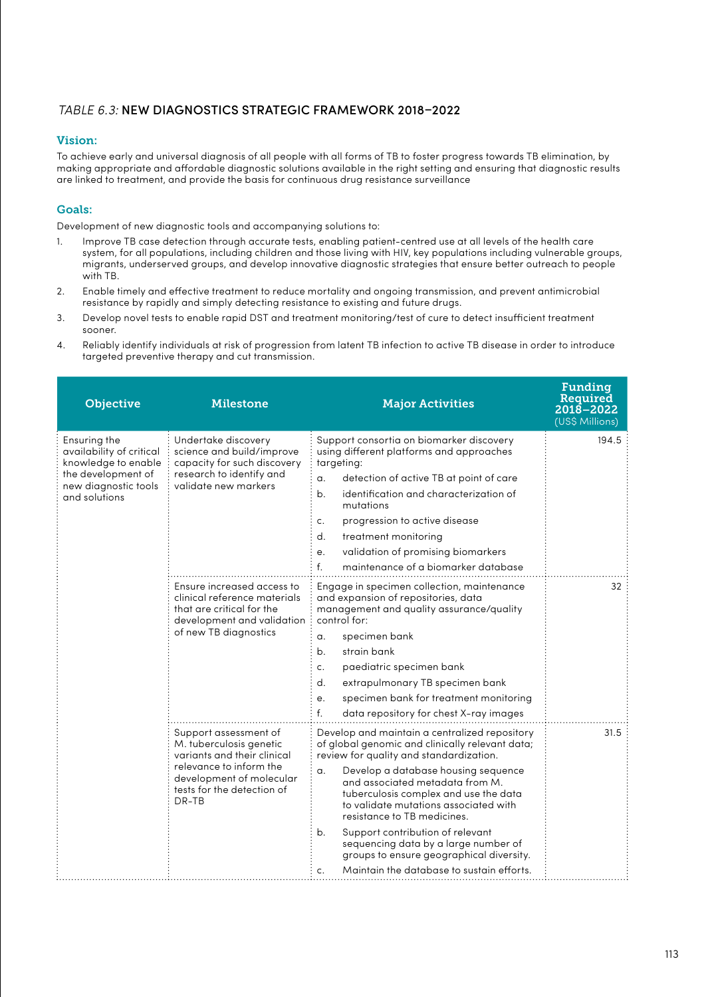## *TABLE 6.3:* NEW DIAGNOSTICS STRATEGIC FRAMEWORK 2018–2022

## Vision:

To achieve early and universal diagnosis of all people with all forms of TB to foster progress towards TB elimination, by making appropriate and affordable diagnostic solutions available in the right setting and ensuring that diagnostic results are linked to treatment, and provide the basis for continuous drug resistance surveillance

## Goals:

Development of new diagnostic tools and accompanying solutions to:

- 1. Improve TB case detection through accurate tests, enabling patient-centred use at all levels of the health care system, for all populations, including children and those living with HIV, key populations including vulnerable groups, migrants, underserved groups, and develop innovative diagnostic strategies that ensure better outreach to people with TB.
- 2. Enable timely and effective treatment to reduce mortality and ongoing transmission, and prevent antimicrobial resistance by rapidly and simply detecting resistance to existing and future drugs.
- 3. Develop novel tests to enable rapid DST and treatment monitoring/test of cure to detect insufficient treatment sooner.
- 4. Reliably identify individuals at risk of progression from latent TB infection to active TB disease in order to introduce targeted preventive therapy and cut transmission.

| <b>Objective</b>                                                                                                               | Milestone                                                                                                                                                                     | <b>Major Activities</b>                                                                                                                                                                                                                                                                                                                                                                                                                                                                                                               | Funding<br>Required<br>2018-2022<br>(US\$ Millions) |
|--------------------------------------------------------------------------------------------------------------------------------|-------------------------------------------------------------------------------------------------------------------------------------------------------------------------------|---------------------------------------------------------------------------------------------------------------------------------------------------------------------------------------------------------------------------------------------------------------------------------------------------------------------------------------------------------------------------------------------------------------------------------------------------------------------------------------------------------------------------------------|-----------------------------------------------------|
| Ensuring the<br>availability of critical<br>knowledge to enable<br>the development of<br>new diagnostic tools<br>and solutions | Undertake discovery<br>science and build/improve<br>capacity for such discovery<br>research to identify and<br>validate new markers                                           | Support consortia on biomarker discovery<br>using different platforms and approaches<br>targeting:<br>detection of active TB at point of care<br>α.<br>b <sub>1</sub><br>identification and characterization of<br>mutations<br>progression to active disease<br>c.<br>$d_{\cdot}$<br>treatment monitoring<br>validation of promising biomarkers<br>e.<br>f.<br>maintenance of a biomarker database                                                                                                                                   | 194.5                                               |
|                                                                                                                                | Ensure increased access to<br>clinical reference materials<br>that are critical for the<br>development and validation<br>of new TB diagnostics                                | Engage in specimen collection, maintenance<br>and expansion of repositories, data<br>management and quality assurance/quality<br>control for:<br>specimen bank<br>α.<br>b.<br>strain bank<br>paediatric specimen bank<br>c.<br>$d_{\cdot}$<br>extrapulmonary TB specimen bank<br>specimen bank for treatment monitoring<br>e.<br>f.<br>data repository for chest X-ray images                                                                                                                                                         | 32                                                  |
|                                                                                                                                | Support assessment of<br>M. tuberculosis genetic<br>variants and their clinical<br>relevance to inform the<br>development of molecular<br>tests for the detection of<br>DR-TB | Develop and maintain a centralized repository<br>of global genomic and clinically relevant data;<br>review for quality and standardization.<br>Develop a database housing sequence<br>$\alpha$ .<br>and associated metadata from M.<br>tuberculosis complex and use the data<br>to validate mutations associated with<br>resistance to TB medicines.<br>b.<br>Support contribution of relevant<br>sequencing data by a large number of<br>groups to ensure geographical diversity.<br>Maintain the database to sustain efforts.<br>c. | 31.5                                                |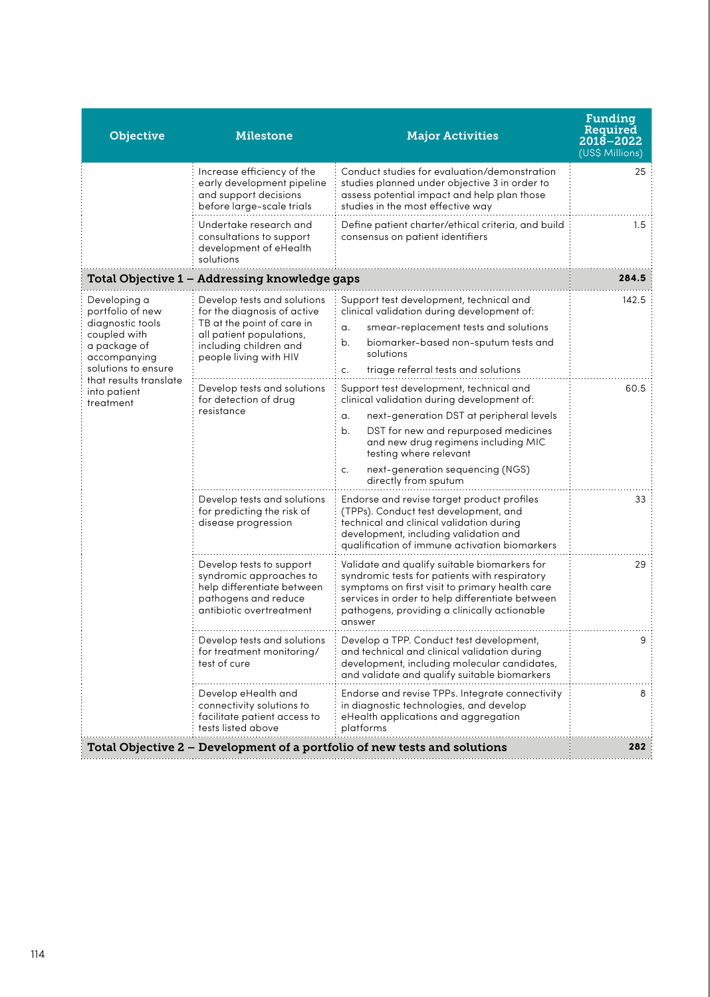| <b>Objective</b>                                                                                                                                                                   | Milestone                                                                                                                                                                | <b>Major Activities</b>                                                                                                                                                                                                                                                                                                  | Funding<br>Required<br>2018-2022<br>(US\$ Millions) |
|------------------------------------------------------------------------------------------------------------------------------------------------------------------------------------|--------------------------------------------------------------------------------------------------------------------------------------------------------------------------|--------------------------------------------------------------------------------------------------------------------------------------------------------------------------------------------------------------------------------------------------------------------------------------------------------------------------|-----------------------------------------------------|
|                                                                                                                                                                                    | Increase efficiency of the<br>early development pipeline<br>and support decisions<br>before large-scale trials                                                           | Conduct studies for evaluation/demonstration<br>studies planned under objective 3 in order to<br>assess potential impact and help plan those<br>studies in the most effective way                                                                                                                                        | 25                                                  |
|                                                                                                                                                                                    | Undertake research and<br>consultations to support<br>development of eHealth<br>solutions                                                                                | Define patient charter/ethical criteria, and build<br>consensus on patient identifiers                                                                                                                                                                                                                                   | 1.5                                                 |
|                                                                                                                                                                                    | Total Objective 1 – Addressing knowledge gaps                                                                                                                            |                                                                                                                                                                                                                                                                                                                          | 284.5                                               |
| Developing a<br>portfolio of new<br>diagnostic tools<br>coupled with<br>a package of<br>accompanying<br>solutions to ensure<br>that results translate<br>into patient<br>treatment | Develop tests and solutions<br>for the diagnosis of active<br>TB at the point of care in<br>all patient populations,<br>including children and<br>people living with HIV | Support test development, technical and<br>clinical validation during development of:<br>a.<br>smear-replacement tests and solutions<br>b.<br>biomarker-based non-sputum tests and<br>solutions<br>triage referral tests and solutions<br>c.                                                                             | 142.5                                               |
|                                                                                                                                                                                    | Develop tests and solutions<br>for detection of drug<br>resistance                                                                                                       | Support test development, technical and<br>clinical validation during development of:<br>next-generation DST at peripheral levels<br>α.<br>b.<br>DST for new and repurposed medicines<br>and new drug regimens including MIC<br>testing where relevant<br>next-generation sequencing (NGS)<br>c.<br>directly from sputum | 60.5                                                |
|                                                                                                                                                                                    | Develop tests and solutions<br>for predicting the risk of<br>disease progression                                                                                         | Endorse and revise target product profiles<br>(TPPs). Conduct test development, and<br>technical and clinical validation during<br>development, including validation and<br>qualification of immune activation biomarkers                                                                                                | 33                                                  |
|                                                                                                                                                                                    | Develop tests to support<br>syndromic approaches to<br>help differentiate between<br>pathogens and reduce<br>antibiotic overtreatment                                    | Validate and qualify suitable biomarkers for<br>syndromic tests for patients with respiratory<br>symptoms on first visit to primary health care<br>services in order to help differentiate between<br>pathogens, providing a clinically actionable<br>answer                                                             | 29                                                  |
|                                                                                                                                                                                    | Develop tests and solutions<br>for treatment monitoring/<br>test of cure                                                                                                 | Develop a TPP. Conduct test development,<br>and technical and clinical validation during<br>development, including molecular candidates,<br>and validate and qualify suitable biomarkers                                                                                                                                 | 9:                                                  |
|                                                                                                                                                                                    | Develop eHealth and<br>connectivity solutions to<br>facilitate patient access to<br>tests listed above                                                                   | Endorse and revise TPPs. Integrate connectivity<br>in diagnostic technologies, and develop<br>eHealth applications and aggregation<br>platforms                                                                                                                                                                          | 8                                                   |
| Total Objective 2 – Development of a portfolio of new tests and solutions                                                                                                          |                                                                                                                                                                          |                                                                                                                                                                                                                                                                                                                          |                                                     |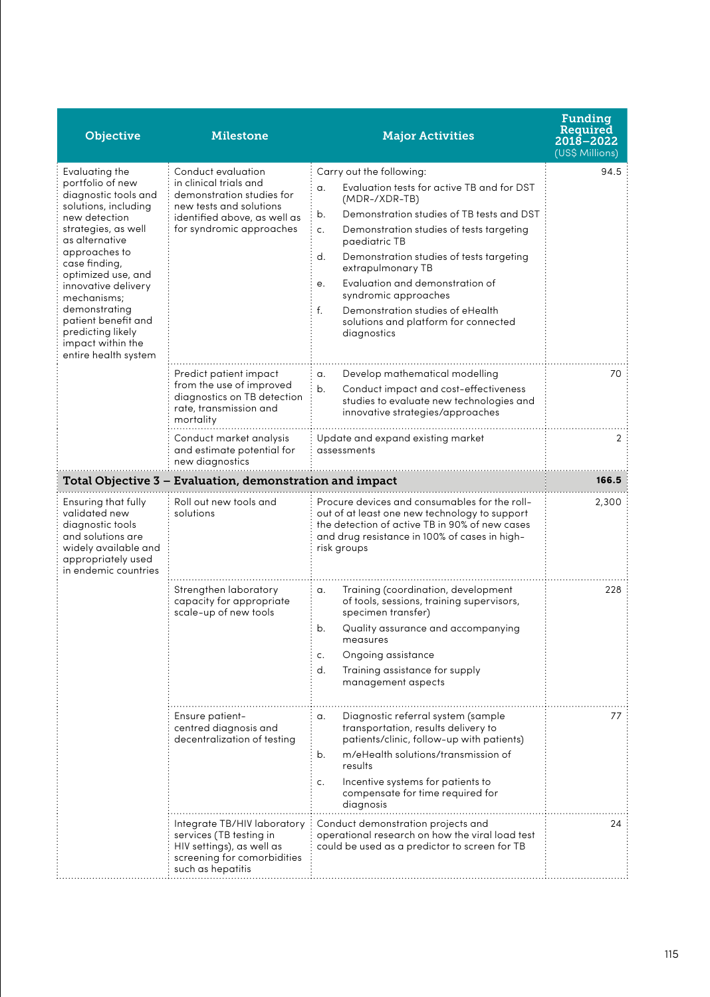| Objective                                                                                                                                                                                                                                                                                                                                            | Milestone                                                                                                                                                        | <b>Major Activities</b>                                                                                                                                                                                                                                                                                                                                                                                                                                      | Funding<br>Required<br>2018-2022<br>(US\$ Millions) |
|------------------------------------------------------------------------------------------------------------------------------------------------------------------------------------------------------------------------------------------------------------------------------------------------------------------------------------------------------|------------------------------------------------------------------------------------------------------------------------------------------------------------------|--------------------------------------------------------------------------------------------------------------------------------------------------------------------------------------------------------------------------------------------------------------------------------------------------------------------------------------------------------------------------------------------------------------------------------------------------------------|-----------------------------------------------------|
| Evaluating the<br>portfolio of new<br>diagnostic tools and<br>solutions, including<br>new detection<br>strategies, as well<br>as alternative<br>approaches to<br>case finding,<br>optimized use, and<br>innovative delivery<br>mechanisms;<br>demonstrating<br>patient benefit and<br>predicting likely<br>impact within the<br>entire health system | Conduct evaluation<br>in clinical trials and<br>demonstration studies for<br>new tests and solutions<br>identified above, as well as<br>for syndromic approaches | Carry out the following:<br>Evaluation tests for active TB and for DST<br>α.<br>(MDR-/XDR-TB)<br>Demonstration studies of TB tests and DST<br>b.<br>c.<br>Demonstration studies of tests targeting<br>paediatric TB<br>d.<br>Demonstration studies of tests targeting<br>extrapulmonary TB<br>Evaluation and demonstration of<br>e.<br>syndromic approaches<br>f.<br>Demonstration studies of eHealth<br>solutions and platform for connected<br>diagnostics | 94.5                                                |
|                                                                                                                                                                                                                                                                                                                                                      | Predict patient impact<br>from the use of improved<br>diagnostics on TB detection<br>rate, transmission and<br>mortality                                         | Develop mathematical modelling<br>α.<br>b <sub>1</sub><br>Conduct impact and cost-effectiveness<br>studies to evaluate new technologies and<br>innovative strategies/approaches                                                                                                                                                                                                                                                                              | 70                                                  |
|                                                                                                                                                                                                                                                                                                                                                      | Conduct market analysis<br>and estimate potential for<br>new diagnostics                                                                                         | Update and expand existing market<br>assessments                                                                                                                                                                                                                                                                                                                                                                                                             | $\overline{2}$                                      |
|                                                                                                                                                                                                                                                                                                                                                      | Total Objective 3 – Evaluation, demonstration and impact                                                                                                         |                                                                                                                                                                                                                                                                                                                                                                                                                                                              | 166.5                                               |
| Ensuring that fully<br>validated new<br>diagnostic tools<br>and solutions are<br>widely available and<br>appropriately used<br>in endemic countries                                                                                                                                                                                                  | Roll out new tools and<br>solutions                                                                                                                              | Procure devices and consumables for the roll-<br>out of at least one new technology to support<br>the detection of active TB in 90% of new cases<br>and drug resistance in 100% of cases in high-<br>risk groups                                                                                                                                                                                                                                             | 2,300                                               |
|                                                                                                                                                                                                                                                                                                                                                      | Strengthen laboratory<br>capacity for appropriate<br>scale-up of new tools                                                                                       | Training (coordination, development<br>α.<br>of tools, sessions, training supervisors,<br>specimen transfer)<br>Quality assurance and accompanying<br>b.<br>measures<br>Ongoing assistance<br>c.<br>d.<br>Training assistance for supply<br>management aspects                                                                                                                                                                                               | 228                                                 |
|                                                                                                                                                                                                                                                                                                                                                      | Ensure patient-<br>centred diagnosis and<br>decentralization of testing                                                                                          | Diagnostic referral system (sample<br>α.<br>transportation, results delivery to<br>patients/clinic, follow-up with patients)<br>m/eHealth solutions/transmission of<br>b.<br>results<br>Incentive systems for patients to<br>c.<br>compensate for time required for<br>diagnosis                                                                                                                                                                             | 77                                                  |
|                                                                                                                                                                                                                                                                                                                                                      | Integrate TB/HIV laboratory<br>services (TB testing in<br>HIV settings), as well as<br>screening for comorbidities<br>such as hepatitis                          | Conduct demonstration projects and<br>operational research on how the viral load test<br>could be used as a predictor to screen for TB                                                                                                                                                                                                                                                                                                                       | 24                                                  |